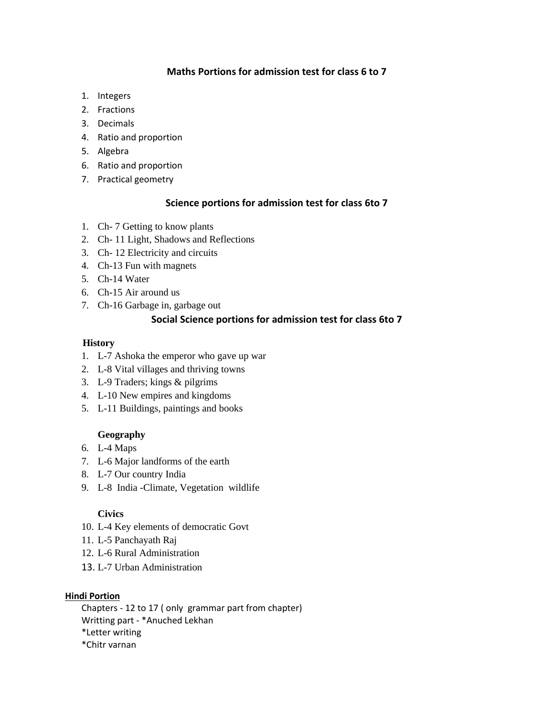### **Maths Portions for admission test for class 6 to 7**

- 1. Integers
- 2. Fractions
- 3. Decimals
- 4. Ratio and proportion
- 5. Algebra
- 6. Ratio and proportion
- 7. Practical geometry

#### **Science portions for admission test for class 6to 7**

- 1. Ch- 7 Getting to know plants
- 2. Ch- 11 Light, Shadows and Reflections
- 3. Ch- 12 Electricity and circuits
- 4. Ch-13 Fun with magnets
- 5. Ch-14 Water
- 6. Ch-15 Air around us
- 7. Ch-16 Garbage in, garbage out

### **Social Science portions for admission test for class 6to 7**

#### **History**

- 1. L-7 Ashoka the emperor who gave up war
- 2. L-8 Vital villages and thriving towns
- 3. L-9 Traders; kings & pilgrims
- 4. L-10 New empires and kingdoms
- 5. L-11 Buildings, paintings and books

#### **Geography**

- 6. L-4 Maps
- 7. L-6 Major landforms of the earth
- 8. L-7 Our country India
- 9. L-8 India -Climate, Vegetation wildlife

#### **Civics**

- 10. L-4 Key elements of democratic Govt
- 11. L-5 Panchayath Raj
- 12. L-6 Rural Administration
- 13. L-7 Urban Administration

#### **Hindi Portion**

Chapters - 12 to 17 ( only grammar part from chapter) Writting part - \*Anuched Lekhan

\*Letter writing

\*Chitr varnan